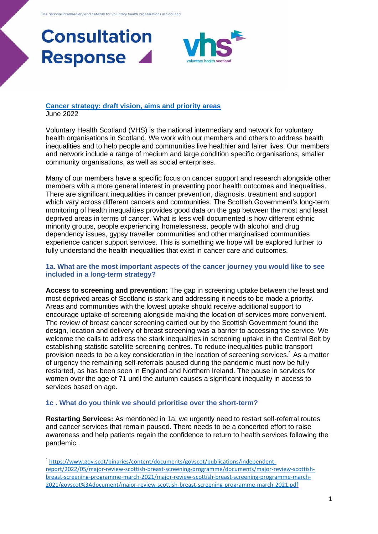

## **[Cancer strategy: draft vision, aims and priority areas](https://consult.gov.scot/health-and-social-care/cancer-strategy/)** June 2022

Voluntary Health Scotland (VHS) is the national intermediary and network for voluntary health organisations in Scotland. We work with our members and others to address health inequalities and to help people and communities live healthier and fairer lives. Our members and network include a range of medium and large condition specific organisations, smaller community organisations, as well as social enterprises.

Many of our members have a specific focus on cancer support and research alongside other members with a more general interest in preventing poor health outcomes and inequalities. There are significant inequalities in cancer prevention, diagnosis, treatment and support which vary across different cancers and communities. The Scottish Government's long-term monitoring of health inequalities provides good data on the gap between the most and least deprived areas in terms of cancer. What is less well documented is how different ethnic minority groups, people experiencing homelessness, people with alcohol and drug dependency issues, gypsy traveller communities and other marginalised communities experience cancer support services. This is something we hope will be explored further to fully understand the health inequalities that exist in cancer care and outcomes.

## **1a. What are the most important aspects of the cancer journey you would like to see included in a long-term strategy?**

**Access to screening and prevention:** The gap in screening uptake between the least and most deprived areas of Scotland is stark and addressing it needs to be made a priority. Areas and communities with the lowest uptake should receive additional support to encourage uptake of screening alongside making the location of services more convenient. The review of breast cancer screening carried out by the Scottish Government found the design, location and delivery of breast screening was a barrier to accessing the service. We welcome the calls to address the stark inequalities in screening uptake in the Central Belt by establishing statistic satellite screening centres. To reduce inequalities public transport provision needs to be a key consideration in the location of screening services. <sup>1</sup> As a matter of urgency the remaining self-referrals paused during the pandemic must now be fully restarted, as has been seen in England and Northern Ireland. The pause in services for women over the age of 71 until the autumn causes a significant inequality in access to services based on age.

## **1c . What do you think we should prioritise over the short-term?**

**Restarting Services:** As mentioned in 1a, we urgently need to restart self-referral routes and cancer services that remain paused. There needs to be a concerted effort to raise awareness and help patients regain the confidence to return to health services following the pandemic.

<sup>1</sup> [https://www.gov.scot/binaries/content/documents/govscot/publications/independent](https://www.gov.scot/binaries/content/documents/govscot/publications/independent-report/2022/05/major-review-scottish-breast-screening-programme/documents/major-review-scottish-breast-screening-programme-march-2021/major-review-scottish-breast-screening-programme-march-2021/govscot%3Adocument/major-review-scottish-breast-screening-programme-march-2021.pdf)[report/2022/05/major-review-scottish-breast-screening-programme/documents/major-review-scottish](https://www.gov.scot/binaries/content/documents/govscot/publications/independent-report/2022/05/major-review-scottish-breast-screening-programme/documents/major-review-scottish-breast-screening-programme-march-2021/major-review-scottish-breast-screening-programme-march-2021/govscot%3Adocument/major-review-scottish-breast-screening-programme-march-2021.pdf)[breast-screening-programme-march-2021/major-review-scottish-breast-screening-programme-march-](https://www.gov.scot/binaries/content/documents/govscot/publications/independent-report/2022/05/major-review-scottish-breast-screening-programme/documents/major-review-scottish-breast-screening-programme-march-2021/major-review-scottish-breast-screening-programme-march-2021/govscot%3Adocument/major-review-scottish-breast-screening-programme-march-2021.pdf)[2021/govscot%3Adocument/major-review-scottish-breast-screening-programme-march-2021.pdf](https://www.gov.scot/binaries/content/documents/govscot/publications/independent-report/2022/05/major-review-scottish-breast-screening-programme/documents/major-review-scottish-breast-screening-programme-march-2021/major-review-scottish-breast-screening-programme-march-2021/govscot%3Adocument/major-review-scottish-breast-screening-programme-march-2021.pdf)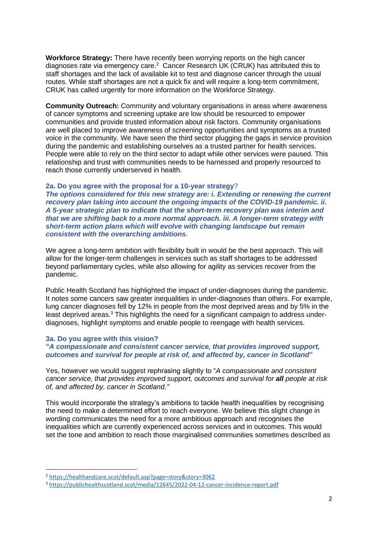**Workforce Strategy:** There have recently been worrying reports on the high cancer diagnoses rate via emergency care.<sup>2</sup> Cancer Research UK (CRUK) has attributed this to staff shortages and the lack of available kit to test and diagnose cancer through the usual routes. While staff shortages are not a quick fix and will require a long-term commitment, CRUK has called urgently for more information on the Workforce Strategy.

**Community Outreach:** Community and voluntary organisations in areas where awareness of cancer symptoms and screening uptake are low should be resourced to empower communities and provide trusted information about risk factors. Community organisations are well placed to improve awareness of screening opportunities and symptoms as a trusted voice in the community. We have seen the third sector plugging the gaps in service provision during the pandemic and establishing ourselves as a trusted partner for health services. People were able to rely on the third sector to adapt while other services were paused. This relationship and trust with communities needs to be harnessed and properly resourced to reach those currently underserved in health.

## **2a. Do you agree with the proposal for a 10-year strategy**?

*The options considered for this new strategy are: i. Extending or renewing the current recovery plan taking into account the ongoing impacts of the COVID-19 pandemic. ii. A 5-year strategic plan to indicate that the short-term recovery plan was interim and that we are shifting back to a more normal approach. iii. A longer-term strategy with short-term action plans which will evolve with changing landscape but remain consistent with the overarching ambitions.*

We agree a long-term ambition with flexibility built in would be the best approach. This will allow for the longer-term challenges in services such as staff shortages to be addressed beyond parliamentary cycles, while also allowing for agility as services recover from the pandemic.

Public Health Scotland has highlighted the impact of under-diagnoses during the pandemic. It notes some cancers saw greater inequalities in under-diagnoses than others. For example, lung cancer diagnoses fell by 12% in people from the most deprived areas and by 5% in the least deprived areas.<sup>3</sup> This highlights the need for a significant campaign to address underdiagnoses, highlight symptoms and enable people to reengage with health services.

## **3a. Do you agree with this vision?**

## **"***A compassionate and consistent cancer service, that provides improved support, outcomes and survival for people at risk of, and affected by, cancer in Scotland***"**

Yes, however we would suggest rephrasing slightly to "*A compassionate and consistent cancer service, that provides improved support, outcomes and survival for all people at risk of, and affected by, cancer in Scotland."* 

This would incorporate the strategy's ambitions to tackle health inequalities by recognising the need to make a determined effort to reach everyone. We believe this slight change in wording communicates the need for a more ambitious approach and recognises the inequalities which are currently experienced across services and in outcomes. This would set the tone and ambition to reach those marginalised communities sometimes described as

<sup>2</sup> <https://healthandcare.scot/default.asp?page=story&story=3062>

<sup>3</sup> <https://publichealthscotland.scot/media/12645/2022-04-12-cancer-incidence-report.pdf>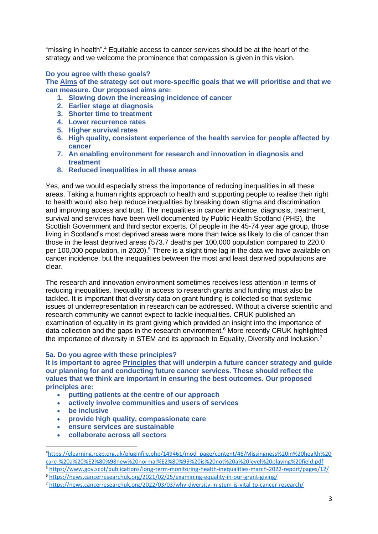"missing in health".<sup>4</sup> Equitable access to cancer services should be at the heart of the strategy and we welcome the prominence that compassion is given in this vision.

## **Do you agree with these goals?**

**The Aims of the strategy set out more-specific goals that we will prioritise and that we can measure. Our proposed aims are:**

- **1. Slowing down the increasing incidence of cancer**
- **2. Earlier stage at diagnosis**
- **3. Shorter time to treatment**
- **4. Lower recurrence rates**
- **5. Higher survival rates**
- **6. High quality, consistent experience of the health service for people affected by cancer**
- **7. An enabling environment for research and innovation in diagnosis and treatment**
- **8. Reduced inequalities in all these areas**

Yes, and we would especially stress the importance of reducing inequalities in all these areas. Taking a human rights approach to health and supporting people to realise their right to health would also help reduce inequalities by breaking down stigma and discrimination and improving access and trust. The inequalities in cancer incidence, diagnosis, treatment, survival and services have been well documented by Public Health Scotland (PHS), the Scottish Government and third sector experts. Of people in the 45-74 year age group, those living in Scotland's most deprived areas were more than twice as likely to die of cancer than those in the least deprived areas (573.7 deaths per 100,000 population compared to 220.0 per 100,000 population, in 2020).<sup>5</sup> There is a slight time lag in the data we have available on cancer incidence, but the inequalities between the most and least deprived populations are clear.

The research and innovation environment sometimes receives less attention in terms of reducing inequalities. Inequality in access to research grants and funding must also be tackled. It is important that diversity data on grant funding is collected so that systemic issues of underrepresentation in research can be addressed. Without a diverse scientific and research community we cannot expect to tackle inequalities. CRUK published an examination of equality in its grant giving which provided an insight into the importance of data collection and the gaps in the research environment.<sup>6</sup> More recently CRUK highlighted the importance of diversity in STEM and its approach to Equality, Diversity and Inclusion.<sup>7</sup>

## **5a. Do you agree with these principles?**

**It is important to agree Principles that will underpin a future cancer strategy and guide our planning for and conducting future cancer services. These should reflect the values that we think are important in ensuring the best outcomes. Our proposed principles are:**

- **putting patients at the centre of our approach**
- **actively involve communities and users of services**
- **be inclusive**
- **provide high quality, compassionate care**
- **ensure services are sustainable**
- **collaborate across all sectors**

<sup>4</sup>[https://elearning.rcgp.org.uk/pluginfile.php/149461/mod\\_page/content/46/Missingness%20in%20health%20](https://elearning.rcgp.org.uk/pluginfile.php/149461/mod_page/content/46/Missingness%20in%20health%20care-%20a%20%E2%80%98new%20normal%E2%80%99%20is%20not%20a%20level%20playing%20field.pdf) [care-%20a%20%E2%80%98new%20normal%E2%80%99%20is%20not%20a%20level%20playing%20field.pdf](https://elearning.rcgp.org.uk/pluginfile.php/149461/mod_page/content/46/Missingness%20in%20health%20care-%20a%20%E2%80%98new%20normal%E2%80%99%20is%20not%20a%20level%20playing%20field.pdf)

<sup>5</sup> <https://www.gov.scot/publications/long-term-monitoring-health-inequalities-march-2022-report/pages/12/>

<sup>6</sup> <https://news.cancerresearchuk.org/2021/02/25/examining-equality-in-our-grant-giving/>

<sup>7</sup> <https://news.cancerresearchuk.org/2022/03/03/why-diversity-in-stem-is-vital-to-cancer-research/>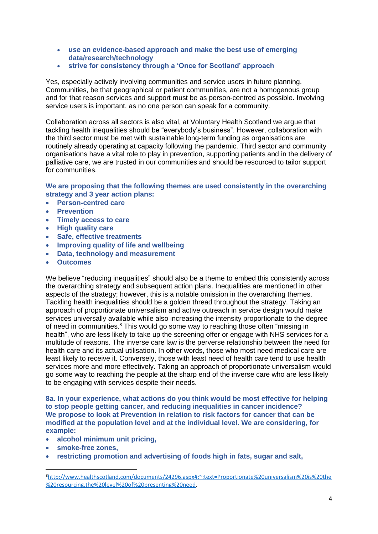- **use an evidence-based approach and make the best use of emerging data/research/technology**
- **strive for consistency through a 'Once for Scotland' approach**

Yes, especially actively involving communities and service users in future planning. Communities, be that geographical or patient communities, are not a homogenous group and for that reason services and support must be as person-centred as possible. Involving service users is important, as no one person can speak for a community.

Collaboration across all sectors is also vital, at Voluntary Health Scotland we argue that tackling health inequalities should be "everybody's business". However, collaboration with the third sector must be met with sustainable long-term funding as organisations are routinely already operating at capacity following the pandemic. Third sector and community organisations have a vital role to play in prevention, supporting patients and in the delivery of palliative care, we are trusted in our communities and should be resourced to tailor support for communities.

**We are proposing that the following themes are used consistently in the overarching strategy and 3 year action plans:**

- **Person-centred care**
- **Prevention**
- **Timely access to care**
- **High quality care**
- **Safe, effective treatments**
- **Improving quality of life and wellbeing**
- **Data, technology and measurement**
- **Outcomes**

We believe "reducing inequalities" should also be a theme to embed this consistently across the overarching strategy and subsequent action plans. Inequalities are mentioned in other aspects of the strategy; however, this is a notable omission in the overarching themes. Tackling health inequalities should be a golden thread throughout the strategy. Taking an approach of proportionate universalism and active outreach in service design would make services universally available while also increasing the intensity proportionate to the degree of need in communities.<sup>8</sup> This would go some way to reaching those often "missing in health", who are less likely to take up the screening offer or engage with NHS services for a multitude of reasons. The inverse care law is the perverse relationship between the need for health care and its actual utilisation. In other words, those who most need medical care are least likely to receive it. Conversely, those with least need of health care tend to use health services more and more effectively. Taking an approach of proportionate universalism would go some way to reaching the people at the sharp end of the inverse care who are less likely to be engaging with services despite their needs.

**8a. In your experience, what actions do you think would be most effective for helping to stop people getting cancer, and reducing inequalities in cancer incidence? We propose to look at Prevention in relation to risk factors for cancer that can be modified at the population level and at the individual level. We are considering, for example:**

- **alcohol minimum unit pricing,**
- **smoke-free zones,**
- **restricting promotion and advertising of foods high in fats, sugar and salt,**

<sup>8</sup>[http://www.healthscotland.com/documents/24296.aspx#:~:text=Proportionate%20universalism%20is%20the](http://www.healthscotland.com/documents/24296.aspx#:~:text=Proportionate%20universalism%20is%20the%20resourcing,the%20level%20of%20presenting%20need) [%20resourcing,the%20level%20of%20presenting%20need.](http://www.healthscotland.com/documents/24296.aspx#:~:text=Proportionate%20universalism%20is%20the%20resourcing,the%20level%20of%20presenting%20need)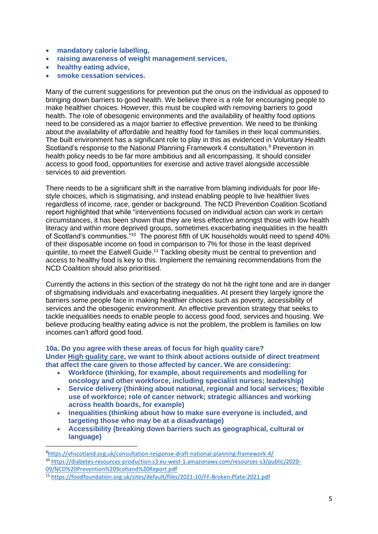- **mandatory calorie labelling,**
- **raising awareness of weight management services,**
- **healthy eating advice,**
- **smoke cessation services.**

Many of the current suggestions for prevention put the onus on the individual as opposed to bringing down barriers to good health. We believe there is a role for encouraging people to make healthier choices. However, this must be coupled with removing barriers to good health. The role of obesogenic environments and the availability of healthy food options need to be considered as a major barrier to effective prevention. We need to be thinking about the availability of affordable and healthy food for families in their local communities. The built environment has a significant role to play in this as evidenced in Voluntary Health Scotland's response to the National Planning Framework 4 consultation.<sup>9</sup> Prevention in health policy needs to be far more ambitious and all encompassing. It should consider access to good food, opportunities for exercise and active travel alongside accessible services to aid prevention.

There needs to be a significant shift in the narrative from blaming individuals for poor lifestyle choices, which is stigmatising, and instead enabling people to live healthier lives regardless of income, race, gender or background. The NCD Prevention Coalition Scotland report highlighted that while "interventions focused on individual action can work in certain circumstances, it has been shown that they are less effective amongst those with low health literacy and within more deprived groups, sometimes exacerbating inequalities in the health of Scotland's communities."<sup>10</sup> The poorest fifth of UK households would need to spend 40% of their disposable income on food in comparison to 7% for those in the least deprived quintile, to meet the Eatwell Guide.<sup>11</sup> Tackling obesity must be central to prevention and access to healthy food is key to this. Implement the remaining recommendations from the NCD Coalition should also prioritised.

Currently the actions in this section of the strategy do not hit the right tone and are in danger of stigmatising individuals and exacerbating inequalities. At present they largely ignore the barriers some people face in making healthier choices such as poverty, accessibility of services and the obesogenic environment. An effective prevention strategy that seeks to tackle inequalities needs to enable people to access good food, services and housing. We believe producing healthy eating advice is not the problem, the problem is families on low incomes can't afford good food.

### **10a. Do you agree with these areas of focus for high quality care? Under High quality care, we want to think about actions outside of direct treatment that affect the care given to those affected by cancer. We are considering:**

- **Workforce (thinking, for example, about requirements and modelling for oncology and other workforce, including specialist nurses; leadership)**
- **Service delivery (thinking about national, regional and local services; flexible use of workforce; role of cancer network; strategic alliances and working across health boards, for example)**
- **Inequalities (thinking about how to make sure everyone is included, and targeting those who may be at a disadvantage)**
- **Accessibility (breaking down barriers such as geographical, cultural or language)**

<sup>9</sup><https://vhscotland.org.uk/consultation-response-draft-national-planning-framework-4/>

<sup>10</sup> [https://diabetes-resources-production.s3.eu-west-1.amazonaws.com/resources-s3/public/2020-](https://diabetes-resources-production.s3.eu-west-1.amazonaws.com/resources-s3/public/2020-09/NCD%20Prevention%20Scotland%20Report.pdf) [09/NCD%20Prevention%20Scotland%20Report.pdf](https://diabetes-resources-production.s3.eu-west-1.amazonaws.com/resources-s3/public/2020-09/NCD%20Prevention%20Scotland%20Report.pdf)

<sup>11</sup> <https://foodfoundation.org.uk/sites/default/files/2021-10/FF-Broken-Plate-2021.pdf>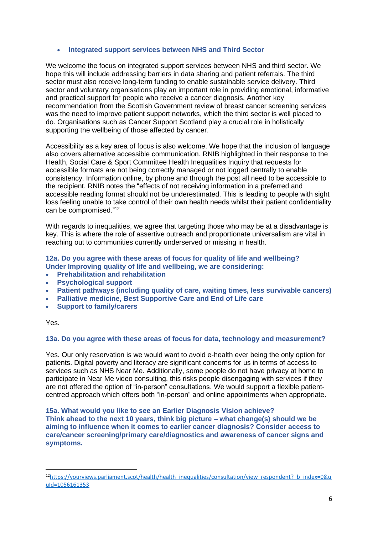## • **Integrated support services between NHS and Third Sector**

We welcome the focus on integrated support services between NHS and third sector. We hope this will include addressing barriers in data sharing and patient referrals. The third sector must also receive long-term funding to enable sustainable service delivery. Third sector and voluntary organisations play an important role in providing emotional, informative and practical support for people who receive a cancer diagnosis. Another key recommendation from the Scottish Government review of breast cancer screening services was the need to improve patient support networks, which the third sector is well placed to do. Organisations such as Cancer Support Scotland play a crucial role in holistically supporting the wellbeing of those affected by cancer.

Accessibility as a key area of focus is also welcome. We hope that the inclusion of language also covers alternative accessible communication. RNIB highlighted in their response to the Health, Social Care & Sport Committee Health Inequalities Inquiry that requests for accessible formats are not being correctly managed or not logged centrally to enable consistency. Information online, by phone and through the post all need to be accessible to the recipient. RNIB notes the "effects of not receiving information in a preferred and accessible reading format should not be underestimated. This is leading to people with sight loss feeling unable to take control of their own health needs whilst their patient confidentiality can be compromised."<sup>12</sup>

With regards to inequalities, we agree that targeting those who may be at a disadvantage is key. This is where the role of assertive outreach and proportionate universalism are vital in reaching out to communities currently underserved or missing in health.

# **12a. Do you agree with these areas of focus for quality of life and wellbeing? Under Improving quality of life and wellbeing, we are considering:**

- **Prehabilitation and rehabilitation**
- **Psychological support**
- **Patient pathways (including quality of care, waiting times, less survivable cancers)**
- **Palliative medicine, Best Supportive Care and End of Life care**
- **Support to family/carers**

#### Yes.

## **13a. Do you agree with these areas of focus for data, technology and measurement?**

Yes. Our only reservation is we would want to avoid e-health ever being the only option for patients. Digital poverty and literacy are significant concerns for us in terms of access to services such as NHS Near Me. Additionally, some people do not have privacy at home to participate in Near Me video consulting, this risks people disengaging with services if they are not offered the option of "in-person" consultations. We would support a flexible patientcentred approach which offers both "in-person" and online appointments when appropriate.

**15a. What would you like to see an Earlier Diagnosis Vision achieve? Think ahead to the next 10 years, think big picture – what change(s) should we be aiming to influence when it comes to earlier cancer diagnosis? Consider access to care/cancer screening/primary care/diagnostics and awareness of cancer signs and symptoms.**

 $12$ [https://yourviews.parliament.scot/health/health\\_inequalities/consultation/view\\_respondent?\\_b\\_index=0&u](https://yourviews.parliament.scot/health/health_inequalities/consultation/view_respondent?_b_index=0&uuId=1056161353) [uId=1056161353](https://yourviews.parliament.scot/health/health_inequalities/consultation/view_respondent?_b_index=0&uuId=1056161353)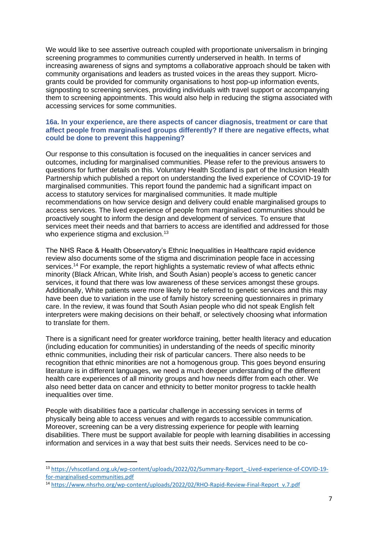We would like to see assertive outreach coupled with proportionate universalism in bringing screening programmes to communities currently underserved in health. In terms of increasing awareness of signs and symptoms a collaborative approach should be taken with community organisations and leaders as trusted voices in the areas they support. Microgrants could be provided for community organisations to host pop-up information events, signposting to screening services, providing individuals with travel support or accompanying them to screening appointments. This would also help in reducing the stigma associated with accessing services for some communities.

#### **16a. In your experience, are there aspects of cancer diagnosis, treatment or care that affect people from marginalised groups differently? If there are negative effects, what could be done to prevent this happening?**

Our response to this consultation is focused on the inequalities in cancer services and outcomes, including for marginalised communities. Please refer to the previous answers to questions for further details on this. Voluntary Health Scotland is part of the Inclusion Health Partnership which published a report on understanding the lived experience of COVID-19 for marginalised communities. This report found the pandemic had a significant impact on access to statutory services for marginalised communities. It made multiple recommendations on how service design and delivery could enable marginalised groups to access services. The lived experience of people from marginalised communities should be proactively sought to inform the design and development of services. To ensure that services meet their needs and that barriers to access are identified and addressed for those who experience stigma and exclusion.<sup>13</sup>

The NHS Race & Health Observatory's Ethnic Inequalities in Healthcare rapid evidence review also documents some of the stigma and discrimination people face in accessing services.<sup>14</sup> For example, the report highlights a systematic review of what affects ethnic minority (Black African, White Irish, and South Asian) people's access to genetic cancer services, it found that there was low awareness of these services amongst these groups. Additionally, White patients were more likely to be referred to genetic services and this may have been due to variation in the use of family history screening questionnaires in primary care. In the review, it was found that South Asian people who did not speak English felt interpreters were making decisions on their behalf, or selectively choosing what information to translate for them.

There is a significant need for greater workforce training, better health literacy and education (including education for communities) in understanding of the needs of specific minority ethnic communities, including their risk of particular cancers. There also needs to be recognition that ethnic minorities are not a homogenous group. This goes beyond ensuring literature is in different languages, we need a much deeper understanding of the different health care experiences of all minority groups and how needs differ from each other. We also need better data on cancer and ethnicity to better monitor progress to tackle health inequalities over time.

People with disabilities face a particular challenge in accessing services in terms of physically being able to access venues and with regards to accessible communication. Moreover, screening can be a very distressing experience for people with learning disabilities. There must be support available for people with learning disabilities in accessing information and services in a way that best suits their needs. Services need to be co-

<sup>13</sup> [https://vhscotland.org.uk/wp-content/uploads/2022/02/Summary-Report\\_-Lived-experience-of-COVID-19](https://vhscotland.org.uk/wp-content/uploads/2022/02/Summary-Report_-Lived-experience-of-COVID-19-for-marginalised-communities.pdf) [for-marginalised-communities.pdf](https://vhscotland.org.uk/wp-content/uploads/2022/02/Summary-Report_-Lived-experience-of-COVID-19-for-marginalised-communities.pdf)

<sup>14</sup> [https://www.nhsrho.org/wp-content/uploads/2022/02/RHO-Rapid-Review-Final-Report\\_v.7.pdf](https://www.nhsrho.org/wp-content/uploads/2022/02/RHO-Rapid-Review-Final-Report_v.7.pdf)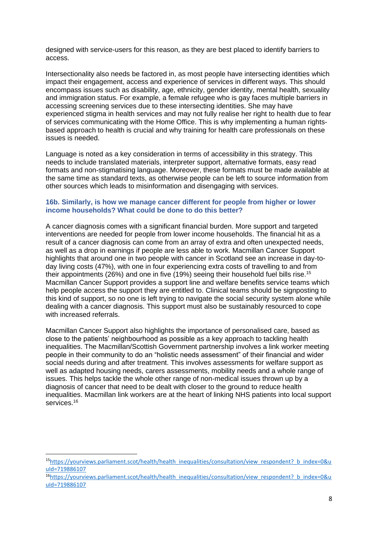designed with service-users for this reason, as they are best placed to identify barriers to access.

Intersectionality also needs be factored in, as most people have intersecting identities which impact their engagement, access and experience of services in different ways. This should encompass issues such as disability, age, ethnicity, gender identity, mental health, sexuality and immigration status. For example, a female refugee who is gay faces multiple barriers in accessing screening services due to these intersecting identities. She may have experienced stigma in health services and may not fully realise her right to health due to fear of services communicating with the Home Office. This is why implementing a human rightsbased approach to health is crucial and why training for health care professionals on these issues is needed.

Language is noted as a key consideration in terms of accessibility in this strategy. This needs to include translated materials, interpreter support, alternative formats, easy read formats and non-stigmatising language. Moreover, these formats must be made available at the same time as standard texts, as otherwise people can be left to source information from other sources which leads to misinformation and disengaging with services.

## **16b. Similarly, is how we manage cancer different for people from higher or lower income households? What could be done to do this better?**

A cancer diagnosis comes with a significant financial burden. More support and targeted interventions are needed for people from lower income households. The financial hit as a result of a cancer diagnosis can come from an array of extra and often unexpected needs, as well as a drop in earnings if people are less able to work. Macmillan Cancer Support highlights that around one in two people with cancer in Scotland see an increase in day-today living costs (47%), with one in four experiencing extra costs of travelling to and from their appointments (26%) and one in five (19%) seeing their household fuel bills rise.<sup>15</sup> Macmillan Cancer Support provides a support line and welfare benefits service teams which help people access the support they are entitled to. Clinical teams should be signposting to this kind of support, so no one is left trying to navigate the social security system alone while dealing with a cancer diagnosis. This support must also be sustainably resourced to cope with increased referrals.

Macmillan Cancer Support also highlights the importance of personalised care, based as close to the patients' neighbourhood as possible as a key approach to tackling health inequalities. The Macmillan/Scottish Government partnership involves a link worker meeting people in their community to do an "holistic needs assessment" of their financial and wider social needs during and after treatment. This involves assessments for welfare support as well as adapted housing needs, carers assessments, mobility needs and a whole range of issues. This helps tackle the whole other range of non-medical issues thrown up by a diagnosis of cancer that need to be dealt with closer to the ground to reduce health inequalities. Macmillan link workers are at the heart of linking NHS patients into local support services.<sup>16</sup>

<sup>15</sup>https://yourviews.parliament.scot/health/health\_inequalities/consultation/view\_respondent? b\_index=0&u [uId=719886107](https://yourviews.parliament.scot/health/health_inequalities/consultation/view_respondent?_b_index=0&uuId=719886107)

<sup>&</sup>lt;sup>16</sup>[https://yourviews.parliament.scot/health/health\\_inequalities/consultation/view\\_respondent?\\_b\\_index=0&u](https://yourviews.parliament.scot/health/health_inequalities/consultation/view_respondent?_b_index=0&uuId=719886107) [uId=719886107](https://yourviews.parliament.scot/health/health_inequalities/consultation/view_respondent?_b_index=0&uuId=719886107)